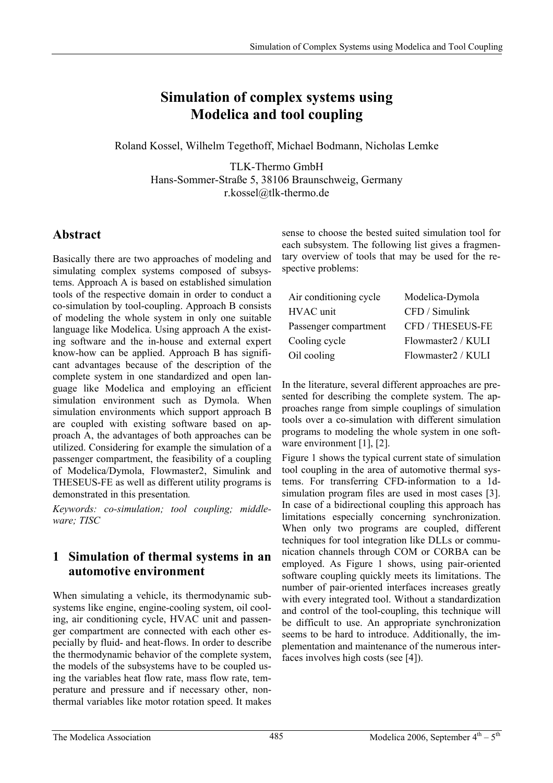# **Simulation of complex systems using Modelica and tool coupling**

Roland Kossel, Wilhelm Tegethoff, Michael Bodmann, Nicholas Lemke

TLK-Thermo GmbH Hans-Sommer-Straße 5, 38106 Braunschweig, Germany r.kossel@tlk-thermo.de

# **Abstract**

Basically there are two approaches of modeling and simulating complex systems composed of subsystems. Approach A is based on established simulation tools of the respective domain in order to conduct a co-simulation by tool-coupling. Approach B consists of modeling the whole system in only one suitable language like Modelica. Using approach A the existing software and the in-house and external expert know-how can be applied. Approach B has significant advantages because of the description of the complete system in one standardized and open language like Modelica and employing an efficient simulation environment such as Dymola. When simulation environments which support approach B are coupled with existing software based on approach A, the advantages of both approaches can be utilized. Considering for example the simulation of a passenger compartment, the feasibility of a coupling of Modelica/Dymola, Flowmaster2, Simulink and THESEUS-FE as well as different utility programs is demonstrated in this presentation*.*

*Keywords: co-simulation; tool coupling; middleware; TISC* 

### **1 Simulation of thermal systems in an automotive environment**

When simulating a vehicle, its thermodynamic subsystems like engine, engine-cooling system, oil cooling, air conditioning cycle, HVAC unit and passenger compartment are connected with each other especially by fluid- and heat-flows. In order to describe the thermodynamic behavior of the complete system, the models of the subsystems have to be coupled using the variables heat flow rate, mass flow rate, temperature and pressure and if necessary other, nonthermal variables like motor rotation speed. It makes sense to choose the bested suited simulation tool for each subsystem. The following list gives a fragmentary overview of tools that may be used for the respective problems:

| Air conditioning cycle | Modelica-Dymola    |
|------------------------|--------------------|
| HVAC unit              | CFD / Simulink     |
| Passenger compartment  | CFD / THESEUS-FE   |
| Cooling cycle          | Flowmaster2 / KULI |
| Oil cooling            | Flowmaster2 / KULI |

In the literature, several different approaches are presented for describing the complete system. The approaches range from simple couplings of simulation tools over a co-simulation with different simulation programs to modeling the whole system in one software environment [1], [2].

Figure 1 shows the typical current state of simulation tool coupling in the area of automotive thermal systems. For transferring CFD-information to a 1dsimulation program files are used in most cases [3]. In case of a bidirectional coupling this approach has limitations especially concerning synchronization. When only two programs are coupled, different techniques for tool integration like DLLs or communication channels through COM or CORBA can be employed. As Figure 1 shows, using pair-oriented software coupling quickly meets its limitations. The number of pair-oriented interfaces increases greatly with every integrated tool. Without a standardization and control of the tool-coupling, this technique will be difficult to use. An appropriate synchronization seems to be hard to introduce. Additionally, the implementation and maintenance of the numerous interfaces involves high costs (see [4]).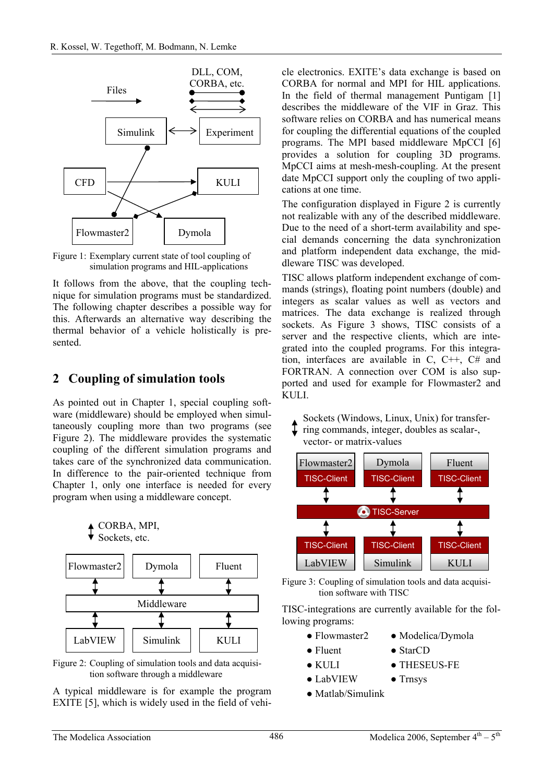

Figure 1: Exemplary current state of tool coupling of simulation programs and HIL-applications

It follows from the above, that the coupling technique for simulation programs must be standardized. The following chapter describes a possible way for this. Afterwards an alternative way describing the thermal behavior of a vehicle holistically is presented.

### **2 Coupling of simulation tools**

CORBA, MPI, Sockets, etc.

As pointed out in Chapter 1, special coupling software (middleware) should be employed when simultaneously coupling more than two programs (see Figure 2). The middleware provides the systematic coupling of the different simulation programs and takes care of the synchronized data communication. In difference to the pair-oriented technique from Chapter 1, only one interface is needed for every program when using a middleware concept.

| Flowmaster2 | Dymola   | Fluent |
|-------------|----------|--------|
|             |          |        |
| Middleware  |          |        |
|             |          |        |
| LabVIEW     | Simulink | KULI   |



A typical middleware is for example the program EXITE [5], which is widely used in the field of vehi-

cle electronics. EXITE's data exchange is based on CORBA for normal and MPI for HIL applications. In the field of thermal management Puntigam [1] describes the middleware of the VIF in Graz. This software relies on CORBA and has numerical means for coupling the differential equations of the coupled programs. The MPI based middleware MpCCI [6] provides a solution for coupling 3D programs. MpCCI aims at mesh-mesh-coupling. At the present date MpCCI support only the coupling of two applications at one time.

The configuration displayed in Figure 2 is currently not realizable with any of the described middleware. Due to the need of a short-term availability and special demands concerning the data synchronization and platform independent data exchange, the middleware TISC was developed.

TISC allows platform independent exchange of commands (strings), floating point numbers (double) and integers as scalar values as well as vectors and matrices. The data exchange is realized through sockets. As Figure 3 shows, TISC consists of a server and the respective clients, which are integrated into the coupled programs. For this integration, interfaces are available in C, C++, C# and FORTRAN. A connection over COM is also supported and used for example for Flowmaster2 and KULI.

- Sockets (Windows, Linux, Unix) for transfer-
- ring commands, integer, doubles as scalar-, vector- or matrix-values





TISC-integrations are currently available for the following programs:

- Flowmaster2 Modelica/Dymola
- Fluent StarCD
- KULI THESEUS-FE
- LabVIEW Trnsys
- Matlab/Simulink
- 
-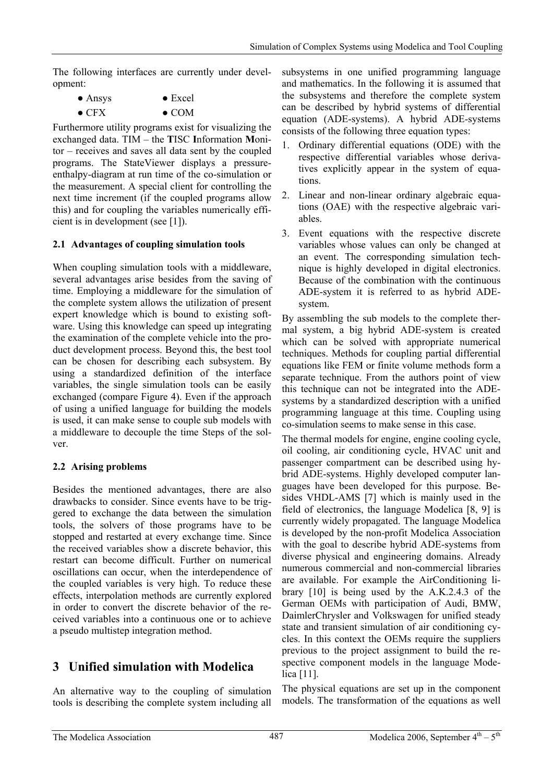The following interfaces are currently under development:

| $\bullet$ Ansys | $\bullet$ Excel |
|-----------------|-----------------|
| $\bullet$ CFX   | $\bullet$ COM   |

Furthermore utility programs exist for visualizing the exchanged data. TIM – the **T**ISC **I**nformation **M**onitor – receives and saves all data sent by the coupled programs. The StateViewer displays a pressureenthalpy-diagram at run time of the co-simulation or the measurement. A special client for controlling the next time increment (if the coupled programs allow this) and for coupling the variables numerically efficient is in development (see [1]).

#### **2.1 Advantages of coupling simulation tools**

When coupling simulation tools with a middleware, several advantages arise besides from the saving of time. Employing a middleware for the simulation of the complete system allows the utilization of present expert knowledge which is bound to existing software. Using this knowledge can speed up integrating the examination of the complete vehicle into the product development process. Beyond this, the best tool can be chosen for describing each subsystem. By using a standardized definition of the interface variables, the single simulation tools can be easily exchanged (compare Figure 4). Even if the approach of using a unified language for building the models is used, it can make sense to couple sub models with a middleware to decouple the time Steps of the solver.

#### **2.2 Arising problems**

Besides the mentioned advantages, there are also drawbacks to consider. Since events have to be triggered to exchange the data between the simulation tools, the solvers of those programs have to be stopped and restarted at every exchange time. Since the received variables show a discrete behavior, this restart can become difficult. Further on numerical oscillations can occur, when the interdependence of the coupled variables is very high. To reduce these effects, interpolation methods are currently explored in order to convert the discrete behavior of the received variables into a continuous one or to achieve a pseudo multistep integration method.

### **3 Unified simulation with Modelica**

An alternative way to the coupling of simulation tools is describing the complete system including all subsystems in one unified programming language and mathematics. In the following it is assumed that the subsystems and therefore the complete system can be described by hybrid systems of differential equation (ADE-systems). A hybrid ADE-systems consists of the following three equation types:

- 1. Ordinary differential equations (ODE) with the respective differential variables whose derivatives explicitly appear in the system of equations.
- 2. Linear and non-linear ordinary algebraic equations (OAE) with the respective algebraic variables.
- 3. Event equations with the respective discrete variables whose values can only be changed at an event. The corresponding simulation technique is highly developed in digital electronics. Because of the combination with the continuous ADE-system it is referred to as hybrid ADEsystem.

By assembling the sub models to the complete thermal system, a big hybrid ADE-system is created which can be solved with appropriate numerical techniques. Methods for coupling partial differential equations like FEM or finite volume methods form a separate technique. From the authors point of view this technique can not be integrated into the ADEsystems by a standardized description with a unified programming language at this time. Coupling using co-simulation seems to make sense in this case.

The thermal models for engine, engine cooling cycle, oil cooling, air conditioning cycle, HVAC unit and passenger compartment can be described using hybrid ADE-systems. Highly developed computer languages have been developed for this purpose. Besides VHDL-AMS [7] which is mainly used in the field of electronics, the language Modelica [8, 9] is currently widely propagated. The language Modelica is developed by the non-profit Modelica Association with the goal to describe hybrid ADE-systems from diverse physical and engineering domains. Already numerous commercial and non-commercial libraries are available. For example the AirConditioning library [10] is being used by the A.K.2.4.3 of the German OEMs with participation of Audi, BMW, DaimlerChrysler and Volkswagen for unified steady state and transient simulation of air conditioning cycles. In this context the OEMs require the suppliers previous to the project assignment to build the respective component models in the language Modelica [11].

The physical equations are set up in the component models. The transformation of the equations as well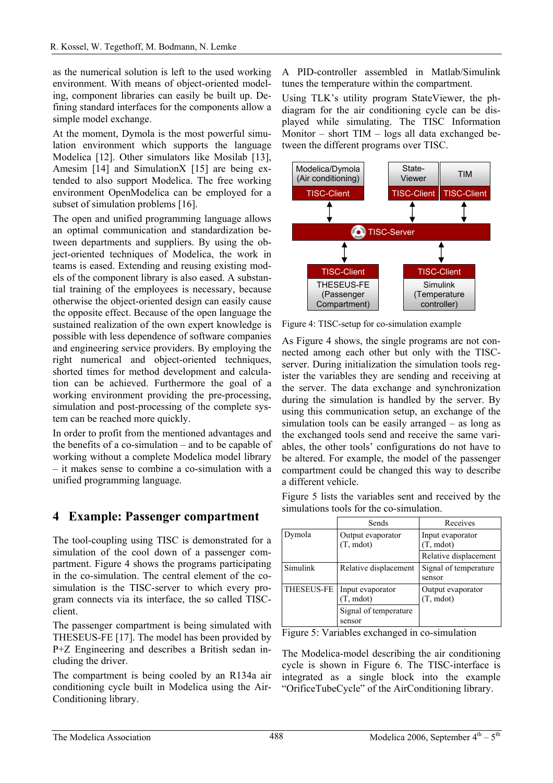as the numerical solution is left to the used working environment. With means of object-oriented modeling, component libraries can easily be built up. Defining standard interfaces for the components allow a simple model exchange.

At the moment, Dymola is the most powerful simulation environment which supports the language Modelica [12]. Other simulators like Mosilab [13], Amesim [14] and SimulationX [15] are being extended to also support Modelica. The free working environment OpenModelica can be employed for a subset of simulation problems [16].

The open and unified programming language allows an optimal communication and standardization between departments and suppliers. By using the object-oriented techniques of Modelica, the work in teams is eased. Extending and reusing existing models of the component library is also eased. A substantial training of the employees is necessary, because otherwise the object-oriented design can easily cause the opposite effect. Because of the open language the sustained realization of the own expert knowledge is possible with less dependence of software companies and engineering service providers. By employing the right numerical and object-oriented techniques, shorted times for method development and calculation can be achieved. Furthermore the goal of a working environment providing the pre-processing, simulation and post-processing of the complete system can be reached more quickly.

In order to profit from the mentioned advantages and the benefits of a co-simulation – and to be capable of working without a complete Modelica model library – it makes sense to combine a co-simulation with a unified programming language.

#### **4 Example: Passenger compartment**

The tool-coupling using TISC is demonstrated for a simulation of the cool down of a passenger compartment. Figure 4 shows the programs participating in the co-simulation. The central element of the cosimulation is the TISC-server to which every program connects via its interface, the so called TISCclient.

The passenger compartment is being simulated with THESEUS-FE [17]. The model has been provided by P+Z Engineering and describes a British sedan including the driver.

The compartment is being cooled by an R134a air conditioning cycle built in Modelica using the Air-Conditioning library.

A PID-controller assembled in Matlab/Simulink tunes the temperature within the compartment.

Using TLK's utility program StateViewer, the phdiagram for the air conditioning cycle can be displayed while simulating. The TISC Information Monitor – short TIM – logs all data exchanged between the different programs over TISC.



Figure 4: TISC-setup for co-simulation example

As Figure 4 shows, the single programs are not connected among each other but only with the TISCserver. During initialization the simulation tools register the variables they are sending and receiving at the server. The data exchange and synchronization during the simulation is handled by the server. By using this communication setup, an exchange of the simulation tools can be easily arranged – as long as the exchanged tools send and receive the same variables, the other tools' configurations do not have to be altered. For example, the model of the passenger compartment could be changed this way to describe a different vehicle.

Figure 5 lists the variables sent and received by the simulations tools for the co-simulation.

|            | Sends                                   | Receives                                |
|------------|-----------------------------------------|-----------------------------------------|
| Dymola     | Output evaporator<br>$(T, \text{mdot})$ | Input evaporator<br>$(T, \text{mdot})$  |
|            |                                         | Relative displacement                   |
| Simulink   | Relative displacement                   | Signal of temperature<br>sensor         |
| THESEUS-FE | Input evaporator<br>T, mdot)            | Output evaporator<br>$(T, \text{mdot})$ |
|            | Signal of temperature<br>sensor         |                                         |

Figure 5: Variables exchanged in co-simulation

The Modelica-model describing the air conditioning cycle is shown in Figure 6. The TISC-interface is integrated as a single block into the example "OrificeTubeCycle" of the AirConditioning library.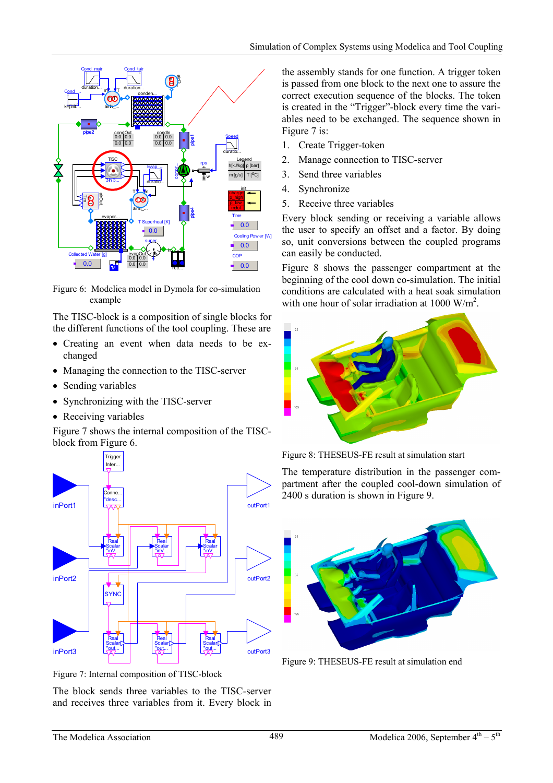

Figure 6: Modelica model in Dymola for co-simulation example

The TISC-block is a composition of single blocks for the different functions of the tool coupling. These are

- Creating an event when data needs to be exchanged
- Managing the connection to the TISC-server
- Sending variables
- Synchronizing with the TISC-server
- Receiving variables

Figure 7 shows the internal composition of the TISCblock from Figure 6.



Figure 7: Internal composition of TISC-block

The block sends three variables to the TISC-server and receives three variables from it. Every block in the assembly stands for one function. A trigger token is passed from one block to the next one to assure the correct execution sequence of the blocks. The token is created in the "Trigger"-block every time the variables need to be exchanged. The sequence shown in Figure 7 is:

- 1. Create Trigger-token
- 2. Manage connection to TISC-server
- 3. Send three variables
- 4. Synchronize
- 5. Receive three variables

Every block sending or receiving a variable allows the user to specify an offset and a factor. By doing so, unit conversions between the coupled programs can easily be conducted.

Figure 8 shows the passenger compartment at the beginning of the cool down co-simulation. The initial conditions are calculated with a heat soak simulation with one hour of solar irradiation at  $1000 \text{ W/m}^2$ .



Figure 8: THESEUS-FE result at simulation start

The temperature distribution in the passenger compartment after the coupled cool-down simulation of 2400 s duration is shown in Figure 9.



Figure 9: THESEUS-FE result at simulation end